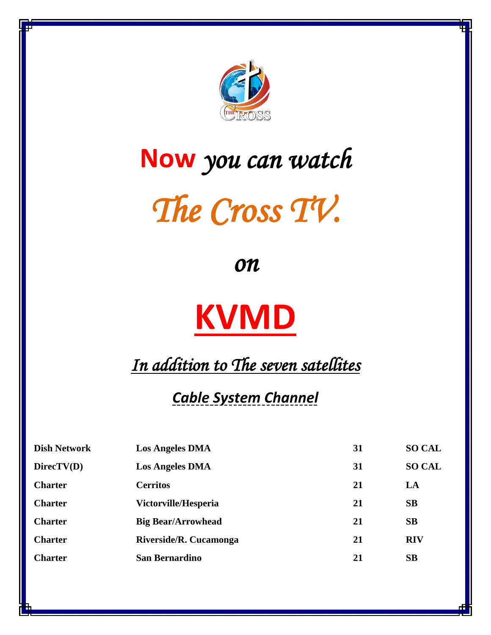

## **Now** *you can watch*

## *The Cross TV.*

*on*

## **KVMD**

*In addition to The seven satellites* 

## *Cable System Channel*

| <b>Dish Network</b> | <b>Los Angeles DMA</b>    | 31 | <b>SO CAL</b> |
|---------------------|---------------------------|----|---------------|
| $\text{DirectV}(D)$ | <b>Los Angeles DMA</b>    | 31 | <b>SO CAL</b> |
| <b>Charter</b>      | <b>Cerritos</b>           | 21 | LA            |
| <b>Charter</b>      | Victorville/Hesperia      | 21 | SB            |
| <b>Charter</b>      | <b>Big Bear/Arrowhead</b> | 21 | <b>SB</b>     |
| <b>Charter</b>      | Riverside/R. Cucamonga    | 21 | <b>RIV</b>    |
| <b>Charter</b>      | <b>San Bernardino</b>     | 21 | SB            |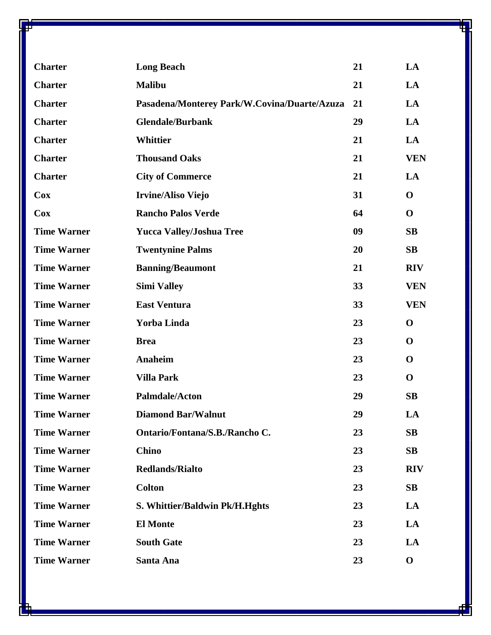| <b>Charter</b>     | <b>Long Beach</b>                            | 21 | LA          |
|--------------------|----------------------------------------------|----|-------------|
| <b>Charter</b>     | <b>Malibu</b>                                | 21 | LA          |
| <b>Charter</b>     | Pasadena/Monterey Park/W.Covina/Duarte/Azuza | 21 | LA          |
| <b>Charter</b>     | <b>Glendale/Burbank</b>                      | 29 | LA          |
| <b>Charter</b>     | <b>Whittier</b>                              | 21 | LA          |
| <b>Charter</b>     | <b>Thousand Oaks</b>                         | 21 | <b>VEN</b>  |
| <b>Charter</b>     | <b>City of Commerce</b>                      | 21 | LA          |
| <b>Cox</b>         | <b>Irvine/Aliso Viejo</b>                    | 31 | $\mathbf 0$ |
| Cox                | <b>Rancho Palos Verde</b>                    | 64 | $\mathbf 0$ |
| <b>Time Warner</b> | <b>Yucca Valley/Joshua Tree</b>              | 09 | SB          |
| <b>Time Warner</b> | <b>Twentynine Palms</b>                      | 20 | SB          |
| <b>Time Warner</b> | <b>Banning/Beaumont</b>                      | 21 | <b>RIV</b>  |
| <b>Time Warner</b> | <b>Simi Valley</b>                           | 33 | <b>VEN</b>  |
| <b>Time Warner</b> | <b>East Ventura</b>                          | 33 | <b>VEN</b>  |
| <b>Time Warner</b> | Yorba Linda                                  | 23 | $\mathbf 0$ |
| <b>Time Warner</b> | <b>Brea</b>                                  | 23 | $\mathbf 0$ |
| <b>Time Warner</b> | Anaheim                                      | 23 | $\mathbf 0$ |
| <b>Time Warner</b> | <b>Villa Park</b>                            | 23 | $\mathbf 0$ |
| <b>Time Warner</b> | Palmdale/Acton                               | 29 | SB          |
| <b>Time Warner</b> | <b>Diamond Bar/Walnut</b>                    | 29 | LA          |
| <b>Time Warner</b> | Ontario/Fontana/S.B./Rancho C.               | 23 | SB          |
| <b>Time Warner</b> | <b>Chino</b>                                 | 23 | SB          |
| <b>Time Warner</b> | <b>Redlands/Rialto</b>                       | 23 | <b>RIV</b>  |
| <b>Time Warner</b> | <b>Colton</b>                                | 23 | SB          |
| <b>Time Warner</b> | S. Whittier/Baldwin Pk/H.Hghts               | 23 | LA          |
| <b>Time Warner</b> | <b>El Monte</b>                              | 23 | LA          |
| <b>Time Warner</b> | <b>South Gate</b>                            | 23 | LA          |
| <b>Time Warner</b> | Santa Ana                                    | 23 | $\mathbf 0$ |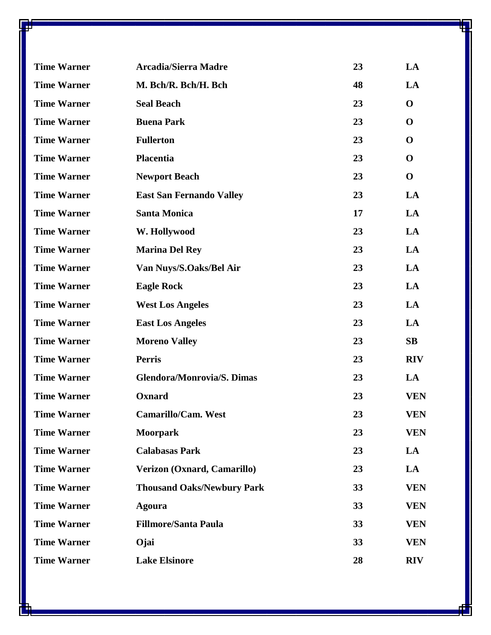| <b>Time Warner</b> | <b>Arcadia/Sierra Madre</b>       | 23 | LA          |
|--------------------|-----------------------------------|----|-------------|
| <b>Time Warner</b> | M. Bch/R. Bch/H. Bch              | 48 | LA          |
| <b>Time Warner</b> | <b>Seal Beach</b>                 | 23 | $\mathbf 0$ |
| <b>Time Warner</b> | <b>Buena Park</b>                 | 23 | $\mathbf 0$ |
| <b>Time Warner</b> | <b>Fullerton</b>                  | 23 | $\mathbf 0$ |
| <b>Time Warner</b> | <b>Placentia</b>                  | 23 | $\mathbf 0$ |
| <b>Time Warner</b> | <b>Newport Beach</b>              | 23 | $\mathbf 0$ |
| <b>Time Warner</b> | <b>East San Fernando Valley</b>   | 23 | LA          |
| <b>Time Warner</b> | <b>Santa Monica</b>               | 17 | LA          |
| <b>Time Warner</b> | W. Hollywood                      | 23 | LA          |
| <b>Time Warner</b> | <b>Marina Del Rey</b>             | 23 | LA          |
| <b>Time Warner</b> | Van Nuys/S.Oaks/Bel Air           | 23 | LA          |
| <b>Time Warner</b> | <b>Eagle Rock</b>                 | 23 | LA          |
| <b>Time Warner</b> | <b>West Los Angeles</b>           | 23 | LA          |
| <b>Time Warner</b> | <b>East Los Angeles</b>           | 23 | LA          |
| <b>Time Warner</b> | <b>Moreno Valley</b>              | 23 | SB          |
| <b>Time Warner</b> | <b>Perris</b>                     | 23 | <b>RIV</b>  |
| <b>Time Warner</b> | <b>Glendora/Monrovia/S. Dimas</b> | 23 | LA          |
| <b>Time Warner</b> | Oxnard                            | 23 | <b>VEN</b>  |
| <b>Time Warner</b> | <b>Camarillo/Cam. West</b>        | 23 | <b>VEN</b>  |
| <b>Time Warner</b> | <b>Moorpark</b>                   | 23 | <b>VEN</b>  |
| <b>Time Warner</b> | <b>Calabasas Park</b>             | 23 | LA          |
| <b>Time Warner</b> | Verizon (Oxnard, Camarillo)       | 23 | LA          |
| <b>Time Warner</b> | <b>Thousand Oaks/Newbury Park</b> | 33 | <b>VEN</b>  |
| <b>Time Warner</b> | <b>Agoura</b>                     | 33 | <b>VEN</b>  |
| <b>Time Warner</b> | <b>Fillmore/Santa Paula</b>       | 33 | <b>VEN</b>  |
| <b>Time Warner</b> | Ojai                              | 33 | <b>VEN</b>  |
| <b>Time Warner</b> | <b>Lake Elsinore</b>              | 28 | <b>RIV</b>  |